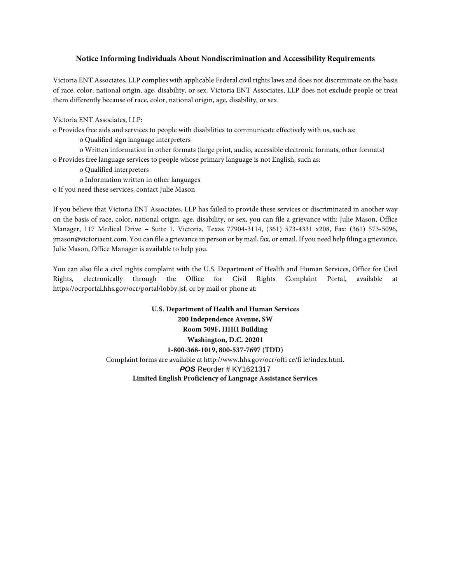## **Notice Informing Individuals About Nondiscrimination and Accessibility Requirements**

Victoria ENT Associates, LLP complies with applicable Federal civil rights laws and does not discriminate on the basis of race, color, national origin, age, disability, or sex. Victoria ENT Associates, LLP does not exclude people or treat them differently because of race, color, national origin, age, disability, or sex.

Victoria ENT Associates, LLP:

o Provides free aids and services to people with disabilities to communicate effectively with us, such as:

o Qualified sign language interpreters

o Written information in other formats (large print, audio, accessible electronic formats, other formats) o Provides free language services to people whose primary language is not English, such as:

o Qualified interpreters

o Information written in other languages

o If you need these services, contact Julie Mason

If you believe that Victoria ENT Associates, LLP has failed to provide these services or discriminated in another way on the basis of race, color, national origin, age, disability, or sex, you can file a grievance with: Julie Mason, Office Manager, 117 Medical Drive -- Suite 1, Victoria, Texas 77904-3114, (361) 573-4331 x208, Fax: (361) 573-5096, jmason@victoriaent.com. You can file a grievance in person or by mail, fax, or email. If you need help filing a grievance, Julie Mason, Office Manager is available to help you.

You can also file a civil rights complaint with the U.S. Department of Health and Human Services, Office for Civil Rights, electronically through the Office for Civil Rights Complaint Portal, available at https://ocrportal.hhs.gov/ocr/portal/lobby.jsf, or by mail or phone at:

> **U.S. Department of Health and Human Services 200 Independence Avenue, SW Room 509F, HHH Building Washington, D.C. 20201 1-800-368-1019, 800-537-7697 (TDD)** Complaint forms are available at http://www.hhs.gov/ocr/offi ce/fi le/index.html. *POS* Reorder # KY1621317 **Limited English Proficiency of Language Assistance Services**